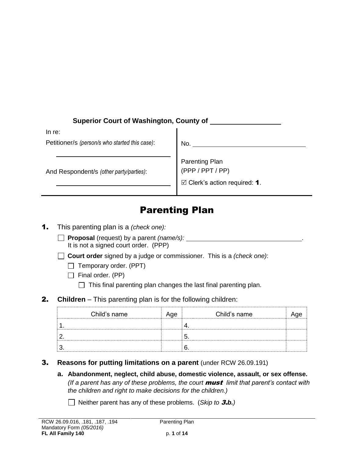| <b>Superior Court of Washington, County of</b> |                                           |  |
|------------------------------------------------|-------------------------------------------|--|
| In re:                                         |                                           |  |
| Petitioner/s (person/s who started this case): | No.                                       |  |
| And Respondent/s (other party/parties):        | <b>Parenting Plan</b><br>(PPP / PPT / PP) |  |
|                                                | $\boxtimes$ Clerk's action required: 1.   |  |

# Parenting Plan

- 1. This parenting plan is a *(check one):*
	- **Proposal** (request) by a parent *(name/s):* It is not a signed court order. (PPP)
	- **Court order** signed by a judge or commissioner. This is a *(check one)*:
		- $\Box$  Temporary order. (PPT)
		- $\Box$  Final order. (PP)
			- $\Box$  This final parenting plan changes the last final parenting plan.
- **2. Children** This parenting plan is for the following children:

| Child's name | Age | Child's name |  |
|--------------|-----|--------------|--|
|              |     |              |  |
|              |     |              |  |
|              |     |              |  |

- 3. **Reasons for putting limitations on a parent** (under RCW 26.09.191)
	- **a. Abandonment, neglect, child abuse, domestic violence, assault, or sex offense.**  *(If a parent has any of these problems, the court* must *limit that parent's contact with the children and right to make decisions for the children.)*
		- Neither parent has any of these problems. (*Skip to* 3.*b.)*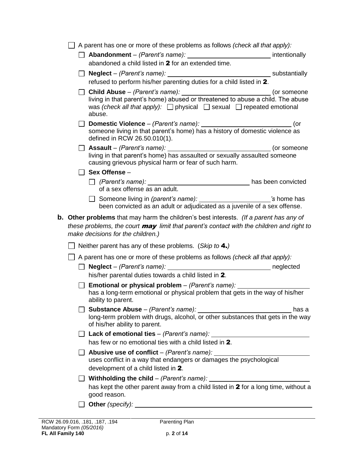|                                                                                                                                                                                                                                | A parent has one or more of these problems as follows (check all that apply):                                                                                                                                                               |             |  |
|--------------------------------------------------------------------------------------------------------------------------------------------------------------------------------------------------------------------------------|---------------------------------------------------------------------------------------------------------------------------------------------------------------------------------------------------------------------------------------------|-------------|--|
|                                                                                                                                                                                                                                | Abandonment – (Parent's name): ________________________________ intentionally                                                                                                                                                               |             |  |
|                                                                                                                                                                                                                                | abandoned a child listed in 2 for an extended time.                                                                                                                                                                                         |             |  |
|                                                                                                                                                                                                                                |                                                                                                                                                                                                                                             |             |  |
| refused to perform his/her parenting duties for a child listed in 2.                                                                                                                                                           |                                                                                                                                                                                                                                             |             |  |
| was (check all that apply): $\Box$ physical $\Box$ sexual $\Box$ repeated emotional<br>abuse.                                                                                                                                  |                                                                                                                                                                                                                                             |             |  |
|                                                                                                                                                                                                                                | someone living in that parent's home) has a history of domestic violence as<br>defined in RCW 26.50.010(1).                                                                                                                                 | (or         |  |
|                                                                                                                                                                                                                                | living in that parent's home) has assaulted or sexually assaulted someone<br>causing grievous physical harm or fear of such harm.                                                                                                           | (or someone |  |
|                                                                                                                                                                                                                                | Sex Offense-                                                                                                                                                                                                                                |             |  |
|                                                                                                                                                                                                                                | of a sex offense as an adult.                                                                                                                                                                                                               |             |  |
|                                                                                                                                                                                                                                | □ Someone living in (parent's name): _______________________'s home has                                                                                                                                                                     |             |  |
|                                                                                                                                                                                                                                | been convicted as an adult or adjudicated as a juvenile of a sex offense.                                                                                                                                                                   |             |  |
| <b>b.</b> Other problems that may harm the children's best interests. (If a parent has any of<br>these problems, the court may limit that parent's contact with the children and right to<br>make decisions for the children.) |                                                                                                                                                                                                                                             |             |  |
|                                                                                                                                                                                                                                | Neither parent has any of these problems. (Skip to 4.)                                                                                                                                                                                      |             |  |
|                                                                                                                                                                                                                                | A parent has one or more of these problems as follows (check all that apply):                                                                                                                                                               |             |  |
|                                                                                                                                                                                                                                | his/her parental duties towards a child listed in 2.                                                                                                                                                                                        |             |  |
|                                                                                                                                                                                                                                | <b>Emotional or physical problem</b> – (Parent's name): $\frac{1}{\sqrt{1-\frac{1}{n}}}\left  \frac{f^{(n)}(x)}{f^{(n)}(x)} \right $<br>has a long-term emotional or physical problem that gets in the way of his/her<br>ability to parent. |             |  |
|                                                                                                                                                                                                                                | long-term problem with drugs, alcohol, or other substances that gets in the way<br>of his/her ability to parent.                                                                                                                            | has a       |  |
|                                                                                                                                                                                                                                | $\Box$ Lack of emotional ties – (Parent's name): $\Box$                                                                                                                                                                                     |             |  |
|                                                                                                                                                                                                                                | has few or no emotional ties with a child listed in 2.                                                                                                                                                                                      |             |  |
|                                                                                                                                                                                                                                | Abusive use of conflict – (Parent's name):<br>uses conflict in a way that endangers or damages the psychological<br>development of a child listed in 2.                                                                                     |             |  |
|                                                                                                                                                                                                                                | <b>Nithholding the child</b> – (Parent's name): $\frac{1}{2}$<br>has kept the other parent away from a child listed in 2 for a long time, without a<br>good reason.                                                                         |             |  |
|                                                                                                                                                                                                                                |                                                                                                                                                                                                                                             |             |  |
|                                                                                                                                                                                                                                |                                                                                                                                                                                                                                             |             |  |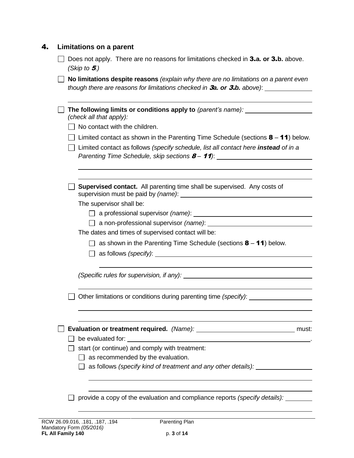| 4. | Limitations on a parent                                                                                                                                                    |  |  |  |
|----|----------------------------------------------------------------------------------------------------------------------------------------------------------------------------|--|--|--|
|    | Does not apply. There are no reasons for limitations checked in 3.a. or 3.b. above.<br>(Skip to $5.$ )                                                                     |  |  |  |
|    | No limitations despite reasons (explain why there are no limitations on a parent even<br>though there are reasons for limitations checked in 3a. or 3.b. above): _________ |  |  |  |
|    | The following limits or conditions apply to (parent's name): ___________________<br>(check all that apply):                                                                |  |  |  |
|    | No contact with the children.                                                                                                                                              |  |  |  |
|    | Limited contact as shown in the Parenting Time Schedule (sections $8 - 11$ ) below.                                                                                        |  |  |  |
|    | Limited contact as follows (specify schedule, list all contact here instead of in a<br>Parenting Time Schedule, skip sections 8-11): __________________________________    |  |  |  |
|    |                                                                                                                                                                            |  |  |  |
|    | <b>Supervised contact.</b> All parenting time shall be supervised. Any costs of                                                                                            |  |  |  |
|    | The supervisor shall be:                                                                                                                                                   |  |  |  |
|    |                                                                                                                                                                            |  |  |  |
|    |                                                                                                                                                                            |  |  |  |
|    | The dates and times of supervised contact will be:                                                                                                                         |  |  |  |
|    | $\Box$ as shown in the Parenting Time Schedule (sections <b>8</b> – <b>11</b> ) below.                                                                                     |  |  |  |
|    | $\Box$ as follows (specify): $\Box$                                                                                                                                        |  |  |  |
|    |                                                                                                                                                                            |  |  |  |
|    | Other limitations or conditions during parenting time (specify): ____                                                                                                      |  |  |  |
|    |                                                                                                                                                                            |  |  |  |
|    | must:                                                                                                                                                                      |  |  |  |
|    |                                                                                                                                                                            |  |  |  |
|    | start (or continue) and comply with treatment:                                                                                                                             |  |  |  |
|    | as recommended by the evaluation.                                                                                                                                          |  |  |  |
|    | as follows (specify kind of treatment and any other details): _________                                                                                                    |  |  |  |
|    |                                                                                                                                                                            |  |  |  |
|    | provide a copy of the evaluation and compliance reports (specify details):                                                                                                 |  |  |  |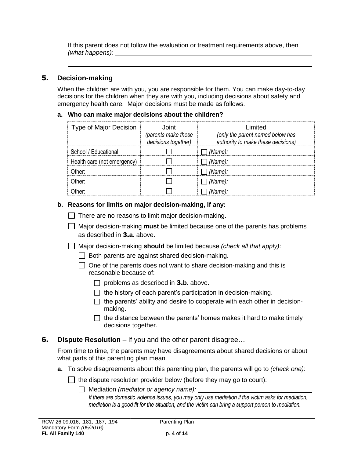If this parent does not follow the evaluation or treatment requirements above, then *(what happens):* 

## 5. **Decision-making**

When the children are with you, you are responsible for them. You can make day-to-day decisions for the children when they are with you, including decisions about safety and emergency health care. Major decisions must be made as follows.

#### **a. Who can make major decisions about the children?**

| <b>Type of Major Decision</b> | . Inint<br>(parents make these<br>decisions together) | I imited<br>(only the parent named below has<br>authority to make these decisions) |
|-------------------------------|-------------------------------------------------------|------------------------------------------------------------------------------------|
| School / Educational          |                                                       | (Name):                                                                            |
| Health care (not emergency)   |                                                       | (Name):                                                                            |
| ∩ther <sup>.</sup>            |                                                       | (Name):                                                                            |
| ∩ther <sup>.</sup>            |                                                       | (Name):                                                                            |
|                               |                                                       | (Name):                                                                            |

#### **b. Reasons for limits on major decision-making, if any:**

- $\Box$  There are no reasons to limit major decision-making.
- Major decision-making **must** be limited because one of the parents has problems as described in 3.**a.** above.
- Major decision-making **should** be limited because *(check all that apply)*:
	- $\Box$  Both parents are against shared decision-making.
	- $\Box$  One of the parents does not want to share decision-making and this is reasonable because of:
		- problems as described in 3.**b.** above.
		- $\Box$  the history of each parent's participation in decision-making.
		- $\Box$  the parents' ability and desire to cooperate with each other in decisionmaking.
		- $\Box$  the distance between the parents' homes makes it hard to make timely decisions together.

### 6. **Dispute Resolution** – If you and the other parent disagree…

From time to time, the parents may have disagreements about shared decisions or about what parts of this parenting plan mean.

**a.** To solve disagreements about this parenting plan, the parents will go to *(check one):*

 $\Box$  the dispute resolution provider below (before they may go to court):

Mediation *(mediator or agency name):* 

*If there are domestic violence issues, you may only use mediation if the victim asks for mediation, mediation is a good fit for the situation, and the victim can bring a support person to mediation.*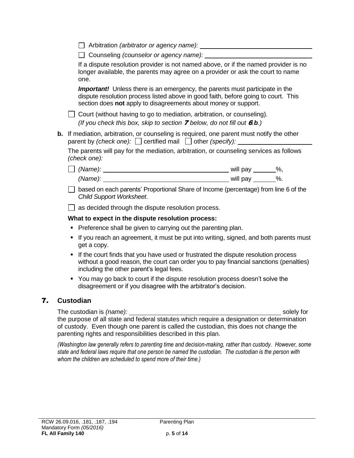Arbitration *(arbitrator or agency name):* 

Counseling *(counselor or agency name):* 

If a dispute resolution provider is not named above, or if the named provider is no longer available, the parents may agree on a provider or ask the court to name one.

**Important!** Unless there is an emergency, the parents must participate in the dispute resolution process listed above in good faith, before going to court. This section does **not** apply to disagreements about money or support.

 $\Box$  Court (without having to go to mediation, arbitration, or counseling). *(If you check this box, skip to section* 7 *below, do not fill out* 6*.b.)*

**b.** If mediation, arbitration, or counseling is required, one parent must notify the other parent by *(check one):*  $\Box$  certified mail  $\Box$  other *(specify):* 

The parents will pay for the mediation, arbitration, or counseling services as follows *(check one):*

| (Name): | will pay | ‰. |
|---------|----------|----|
| (Mame): | will pay | %. |

 $\Box$  based on each parents' Proportional Share of Income (percentage) from line 6 of the *Child Support Worksheet*.

 $\Box$  as decided through the dispute resolution process.

#### **What to expect in the dispute resolution process:**

- Preference shall be given to carrying out the parenting plan.
- If you reach an agreement, it must be put into writing, signed, and both parents must get a copy.
- If the court finds that you have used or frustrated the dispute resolution process without a good reason, the court can order you to pay financial sanctions (penalties) including the other parent's legal fees.
- You may go back to court if the dispute resolution process doesn't solve the disagreement or if you disagree with the arbitrator's decision.

# 7. **Custodian**

The custodian is (name): solely for solely for solely for solely for solely for solely for solely for solely for the purpose of all state and federal statutes which require a designation or determination of custody. Even though one parent is called the custodian, this does not change the parenting rights and responsibilities described in this plan.

*(Washington law generally refers to parenting time and decision-making, rather than custody. However, some state and federal laws require that one person be named the custodian. The custodian is the person with whom the children are scheduled to spend more of their time.)*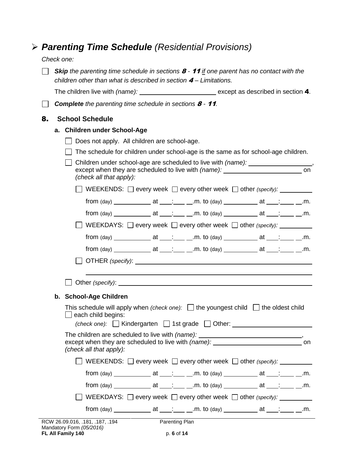# *Parenting Time Schedule (Residential Provisions)*

*Check one:* 

|    | <b>Skip</b> the parenting time schedule in sections $\boldsymbol{\beta}$ - 11 if one parent has no contact with the<br>children other than what is described in section $4-$ Limitations.                                      |  |  |  |  |
|----|--------------------------------------------------------------------------------------------------------------------------------------------------------------------------------------------------------------------------------|--|--|--|--|
|    | The children live with (name): ___________________________ except as described in section 4.                                                                                                                                   |  |  |  |  |
|    | <b>Complete</b> the parenting time schedule in sections $8 - 11$ .                                                                                                                                                             |  |  |  |  |
| 8. | <b>School Schedule</b>                                                                                                                                                                                                         |  |  |  |  |
|    | a. Children under School-Age                                                                                                                                                                                                   |  |  |  |  |
|    | Does not apply. All children are school-age.                                                                                                                                                                                   |  |  |  |  |
|    | The schedule for children under school-age is the same as for school-age children.                                                                                                                                             |  |  |  |  |
|    | Children under school-age are scheduled to live with (name): ___________________,<br>except when they are scheduled to live with (name): ____________________________ on<br>(check all that apply):                            |  |  |  |  |
|    | $\Box$ WEEKENDS: $\Box$ every week $\Box$ every other week $\Box$ other (specify): $\Box$                                                                                                                                      |  |  |  |  |
|    |                                                                                                                                                                                                                                |  |  |  |  |
|    | from $\frac{(\text{day}) \_ \_ \_ \_ }{ \_ \_ \_ \_ }$ at ___; ___ _.m. to $\frac{(\text{day}) \_ \_ \_ \_ \_ }{ \_ \_ \_ \_ }$ at ___; ___ _.m.                                                                               |  |  |  |  |
|    | WEEKDAYS: $\Box$ every week $\Box$ every other week $\Box$ other (specify): __________                                                                                                                                         |  |  |  |  |
|    |                                                                                                                                                                                                                                |  |  |  |  |
|    |                                                                                                                                                                                                                                |  |  |  |  |
|    |                                                                                                                                                                                                                                |  |  |  |  |
|    | Department of the control of the control of the control of the control of the control of the control of the control of the control of the control of the control of the control of the control of the control of the control o |  |  |  |  |
|    | b. School-Age Children                                                                                                                                                                                                         |  |  |  |  |
|    | This schedule will apply when (check one): $\Box$ the youngest child $\Box$ the oldest child<br>$\Box$ each child begins:<br>(check one): $\Box$ Kindergarten $\Box$ 1st grade $\Box$ Other:                                   |  |  |  |  |
|    | The children are scheduled to live with (name): ________________________________,<br>(check all that apply):                                                                                                                   |  |  |  |  |
|    | WEEKENDS: $\Box$ every week $\Box$ every other week $\Box$ other (specify):                                                                                                                                                    |  |  |  |  |
|    |                                                                                                                                                                                                                                |  |  |  |  |
|    |                                                                                                                                                                                                                                |  |  |  |  |
|    | WEEKDAYS: □ every week □ every other week □ other (specify): _________                                                                                                                                                         |  |  |  |  |
|    |                                                                                                                                                                                                                                |  |  |  |  |
|    | RCW 26.09.016, .181, .187, .194 Parenting Plan                                                                                                                                                                                 |  |  |  |  |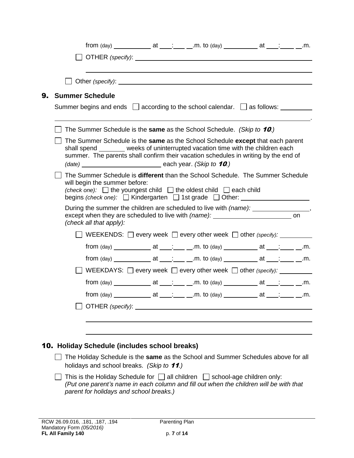|    | from $\frac{(\text{day}) \_}{\_}$ at $\_\_\_\_\_\_\_\_\$ m. to $\frac{(\text{day}) \_}{\_}$ at $\_\_\_\_\_\_\_\_\_\_\_\.\$                                                                                                                                                    |
|----|-------------------------------------------------------------------------------------------------------------------------------------------------------------------------------------------------------------------------------------------------------------------------------|
|    |                                                                                                                                                                                                                                                                               |
|    |                                                                                                                                                                                                                                                                               |
| 9. | <b>Summer Schedule</b>                                                                                                                                                                                                                                                        |
|    | Summer begins and ends $\Box$ according to the school calendar. $\Box$ as follows:                                                                                                                                                                                            |
|    | The Summer Schedule is the same as the School Schedule. (Skip to 10.)                                                                                                                                                                                                         |
|    | The Summer Schedule is the same as the School Schedule except that each parent<br>shall spend _______ weeks of uninterrupted vacation time with the children each<br>summer. The parents shall confirm their vacation schedules in writing by the end of                      |
|    | The Summer Schedule is different than the School Schedule. The Summer Schedule<br>will begin the summer before:<br>(check one): $\Box$ the youngest child $\Box$ the oldest child $\Box$ each child<br>begins (check one): $\Box$ Kindergarten $\Box$ 1st grade $\Box$ Other: |
|    | During the summer the children are scheduled to live with (name): _______________<br>(check all that apply):                                                                                                                                                                  |
|    | <b>OF WEEKENDS:</b> $\Box$ every week $\Box$ every other week $\Box$ other (specify): $\Box$                                                                                                                                                                                  |
|    |                                                                                                                                                                                                                                                                               |
|    |                                                                                                                                                                                                                                                                               |
|    | WEEKDAYS: $\Box$ every week $\Box$ every other week $\Box$ other (specify):                                                                                                                                                                                                   |
|    |                                                                                                                                                                                                                                                                               |
|    |                                                                                                                                                                                                                                                                               |
|    |                                                                                                                                                                                                                                                                               |
|    |                                                                                                                                                                                                                                                                               |
|    | 10. Holiday Schedule (includes school breaks)                                                                                                                                                                                                                                 |
|    | The Holiday Schedule is the same as the School and Summer Schedules above for all<br>holidays and school breaks. (Skip to 11.)                                                                                                                                                |
|    | This is the Holiday Schedule for $\Box$ all children $\Box$ school-age children only:<br>(Put one parent's name in each column and fill out when the children will be with that<br>parent for holidays and school breaks.)                                                    |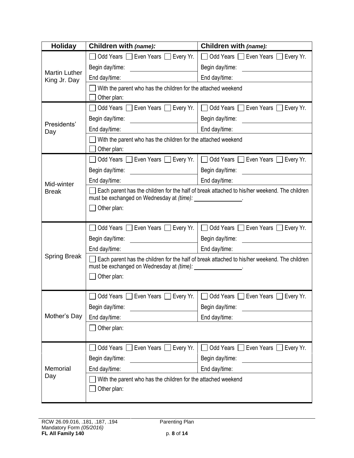| <b>Holiday</b>                       | Children with (name):                                                                                                                                       | Children with (name):                                                                                                                                                                                                         |  |
|--------------------------------------|-------------------------------------------------------------------------------------------------------------------------------------------------------------|-------------------------------------------------------------------------------------------------------------------------------------------------------------------------------------------------------------------------------|--|
|                                      | Odd Years Seven Years Severy Yr.                                                                                                                            | □ Odd Years □ Even Years □ Every Yr.                                                                                                                                                                                          |  |
|                                      | Begin day/time:                                                                                                                                             | Begin day/time: Note that the set of the set of the set of the set of the set of the set of the set of the set o                                                                                                              |  |
| <b>Martin Luther</b><br>King Jr. Day | End day/time:                                                                                                                                               | End day/time:                                                                                                                                                                                                                 |  |
|                                      | With the parent who has the children for the attached weekend                                                                                               |                                                                                                                                                                                                                               |  |
|                                      | Other plan:                                                                                                                                                 |                                                                                                                                                                                                                               |  |
|                                      | Odd Years Even Years Every Yr.                                                                                                                              | Odd Years Even Years Every Yr.                                                                                                                                                                                                |  |
| Presidents'                          | Begin day/time:                                                                                                                                             | Begin day/time:                                                                                                                                                                                                               |  |
| Day                                  | End day/time:<br><u>and a strong of the strong strong and</u>                                                                                               | End day/time:                                                                                                                                                                                                                 |  |
|                                      | With the parent who has the children for the attached weekend                                                                                               |                                                                                                                                                                                                                               |  |
|                                      | Other plan:                                                                                                                                                 |                                                                                                                                                                                                                               |  |
|                                      | Odd Years C Even Years C Every Yr.                                                                                                                          | □ Odd Years □ Even Years □ Every Yr.                                                                                                                                                                                          |  |
|                                      | Begin day/time:                                                                                                                                             | Begin day/time: example of the state of the state of the state of the state of the state of the state of the state of the state of the state of the state of the state of the state of the state of the state of the state of |  |
| Mid-winter                           | End day/time:                                                                                                                                               | End day/time:                                                                                                                                                                                                                 |  |
| <b>Break</b>                         | Each parent has the children for the half of break attached to his/her weekend. The children<br>must be exchanged on Wednesday at (time): ________________. |                                                                                                                                                                                                                               |  |
|                                      | Other plan:                                                                                                                                                 |                                                                                                                                                                                                                               |  |
|                                      |                                                                                                                                                             |                                                                                                                                                                                                                               |  |
|                                      | Odd Years Seven Years Bevery Yr.                                                                                                                            | □ Odd Years □ Even Years □ Every Yr.                                                                                                                                                                                          |  |
|                                      | Begin day/time:                                                                                                                                             | Begin day/time: example of the state of the state of the state of the state of the state of the state of the state of the state of the state of the state of the state of the state of the state of the state of the state of |  |
|                                      | End day/time:                                                                                                                                               | End day/time:                                                                                                                                                                                                                 |  |
| <b>Spring Break</b>                  | Each parent has the children for the half of break attached to his/her weekend. The children                                                                |                                                                                                                                                                                                                               |  |
|                                      | must be exchanged on Wednesday at (time): _________________.                                                                                                |                                                                                                                                                                                                                               |  |
|                                      | Other plan:                                                                                                                                                 |                                                                                                                                                                                                                               |  |
|                                      | Odd Years □ Even Years<br>Every Yr.                                                                                                                         | Odd Years<br>Even Years<br>Every Yr.                                                                                                                                                                                          |  |
|                                      | Begin day/time:                                                                                                                                             | Begin day/time:                                                                                                                                                                                                               |  |
| Mother's Day                         | End day/time:                                                                                                                                               | End day/time:                                                                                                                                                                                                                 |  |
|                                      | Other plan:                                                                                                                                                 |                                                                                                                                                                                                                               |  |
|                                      |                                                                                                                                                             |                                                                                                                                                                                                                               |  |
|                                      | ◯ Odd Years ◯ Even Years ◯ Every Yr.                                                                                                                        | □ Odd Years □ Even Years □ Every Yr.                                                                                                                                                                                          |  |
|                                      | Begin day/time:                                                                                                                                             | Begin day/time:                                                                                                                                                                                                               |  |
| Memorial                             | End day/time:                                                                                                                                               | End day/time:                                                                                                                                                                                                                 |  |
| Day                                  | With the parent who has the children for the attached weekend                                                                                               |                                                                                                                                                                                                                               |  |
|                                      | Other plan:                                                                                                                                                 |                                                                                                                                                                                                                               |  |
|                                      |                                                                                                                                                             |                                                                                                                                                                                                                               |  |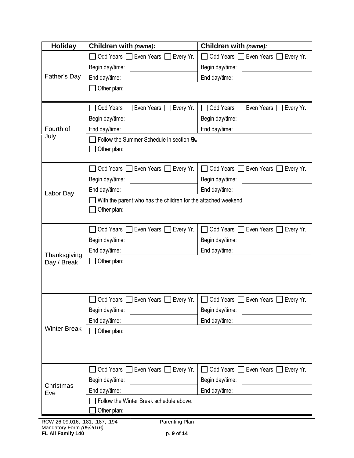| <b>Holiday</b>      | Children with (name):                                         | Children with (name):                                           |
|---------------------|---------------------------------------------------------------|-----------------------------------------------------------------|
|                     | Odd Years Seven Years Severy Yr.                              | Odd Years Seven Years Severy Yr.                                |
|                     | Begin day/time:                                               | Begin day/time:                                                 |
| Father's Day        | End day/time:                                                 | End day/time:                                                   |
|                     | Other plan:                                                   |                                                                 |
|                     |                                                               |                                                                 |
|                     | Odd Years Seven Years Bevery Yr.                              | Odd Years Even Years Every Yr.                                  |
|                     | Begin day/time:                                               | Begin day/time:                                                 |
| Fourth of           | End day/time:                                                 | End day/time:                                                   |
| July                | Follow the Summer Schedule in section 9.                      |                                                                 |
|                     | Other plan:                                                   |                                                                 |
|                     |                                                               |                                                                 |
|                     | Odd Years Even Years Every Yr.                                | Odd Years  <br>$\Box$ Even Years $\Box$ Every Yr.               |
|                     | Begin day/time:                                               | Begin day/time:                                                 |
| Labor Day           | End day/time:                                                 | End day/time:                                                   |
|                     | With the parent who has the children for the attached weekend |                                                                 |
|                     | Other plan:                                                   |                                                                 |
|                     |                                                               |                                                                 |
|                     | Even Years [<br>Odd Years  <br>Every Yr.                      | Odd Years<br>Even Years I Every Yr.                             |
|                     | Begin day/time:                                               | Begin day/time:                                                 |
| Thanksgiving        | End day/time:                                                 | End day/time:                                                   |
| Day / Break         | Other plan:                                                   |                                                                 |
|                     |                                                               |                                                                 |
|                     |                                                               |                                                                 |
|                     |                                                               | Odd Years Even Years Every Yr.   Odd Years Even Years Every Yr. |
|                     | Begin day/time:                                               | Begin day/time:                                                 |
|                     | End day/time:                                                 | End day/time:                                                   |
| <b>Winter Break</b> | $\Box$ Other plan:                                            |                                                                 |
|                     |                                                               |                                                                 |
|                     |                                                               |                                                                 |
|                     |                                                               |                                                                 |
|                     | Odd Years Even Years Every Yr.                                | Odd Years Even Years Every Yr.                                  |
| Christmas           | Begin day/time:                                               | Begin day/time:                                                 |
| Eve                 | End day/time:                                                 | End day/time:                                                   |
|                     | Follow the Winter Break schedule above.                       |                                                                 |
|                     | Other plan:                                                   |                                                                 |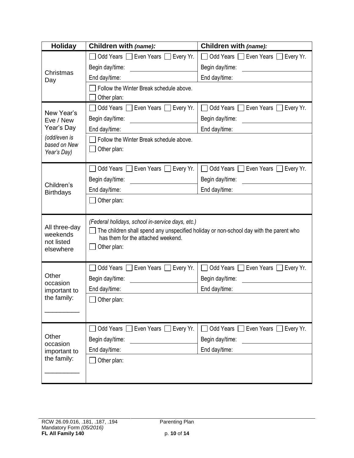| <b>Holiday</b>                                       | Children with (name):                                                                                                                                                                           | Children with (name):               |  |
|------------------------------------------------------|-------------------------------------------------------------------------------------------------------------------------------------------------------------------------------------------------|-------------------------------------|--|
|                                                      | Odd Years Seven Years Severy Yr.                                                                                                                                                                | Odd Years C Even Years<br>Every Yr. |  |
|                                                      | Begin day/time:                                                                                                                                                                                 | Begin day/time:                     |  |
| Christmas<br>Day                                     | End day/time:                                                                                                                                                                                   | End day/time:                       |  |
|                                                      | Follow the Winter Break schedule above.                                                                                                                                                         |                                     |  |
|                                                      | Other plan:                                                                                                                                                                                     |                                     |  |
| New Year's                                           | Odd Years Seven Years Severy Yr.                                                                                                                                                                | Odd Years Seven Years Severy Yr.    |  |
| Eve / New                                            | Begin day/time:                                                                                                                                                                                 | Begin day/time:                     |  |
| Year's Day                                           | End day/time:                                                                                                                                                                                   | End day/time:                       |  |
| (odd/even is<br>based on New                         | Follow the Winter Break schedule above.                                                                                                                                                         |                                     |  |
| Year's Day)                                          | Other plan:                                                                                                                                                                                     |                                     |  |
|                                                      |                                                                                                                                                                                                 |                                     |  |
|                                                      | Odd Years Even Years Every Yr.                                                                                                                                                                  | Odd Years Seven Years Severy Yr.    |  |
| Children's                                           | Begin day/time:                                                                                                                                                                                 | Begin day/time:                     |  |
| <b>Birthdays</b>                                     | End day/time:                                                                                                                                                                                   | End day/time:                       |  |
|                                                      | Other plan:                                                                                                                                                                                     |                                     |  |
| All three-day<br>weekends<br>not listed<br>elsewhere | (Federal holidays, school in-service days, etc.)<br>The children shall spend any unspecified holiday or non-school day with the parent who<br>has them for the attached weekend.<br>Other plan: |                                     |  |
|                                                      | Odd Years Seven Years Bevery Yr.                                                                                                                                                                | Odd Years C Even Years C Every Yr.  |  |
| Other                                                | Begin day/time:                                                                                                                                                                                 | Begin day/time:                     |  |
| occasion<br>important to                             | End day/time:                                                                                                                                                                                   | End day/time:                       |  |
| the family:                                          | $\Box$ Other plan:                                                                                                                                                                              |                                     |  |
|                                                      |                                                                                                                                                                                                 |                                     |  |
|                                                      |                                                                                                                                                                                                 |                                     |  |
|                                                      | Odd Years □ Even Years □ Every Yr.                                                                                                                                                              | Odd Years Even Years Every Yr.      |  |
| Other<br>occasion                                    | Begin day/time:                                                                                                                                                                                 | Begin day/time:                     |  |
| important to                                         | End day/time:                                                                                                                                                                                   | End day/time:                       |  |
| the family:                                          | Other plan:                                                                                                                                                                                     |                                     |  |
|                                                      |                                                                                                                                                                                                 |                                     |  |
|                                                      |                                                                                                                                                                                                 |                                     |  |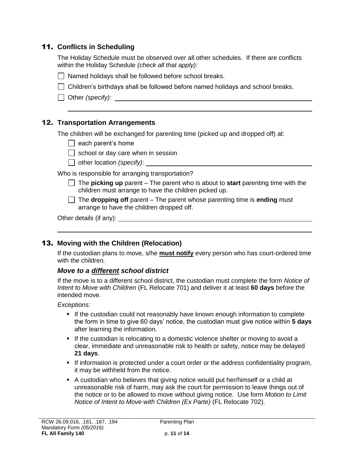# 11. **Conflicts in Scheduling**

The Holiday Schedule must be observed over all other schedules. If there are conflicts within the Holiday Schedule *(check all that apply):*

| 7 Named holidays shall be followed before school breaks. |  |
|----------------------------------------------------------|--|
|----------------------------------------------------------|--|

Children's birthdays shall be followed before named holidays and school breaks.

□ Other *(specify):* <u>\_\_\_\_\_\_\_\_\_\_\_\_\_\_\_\_\_\_\_\_\_\_\_\_\_\_\_\_\_\_\_\_</u>

### 12. **Transportation Arrangements**

The children will be exchanged for parenting time (picked up and dropped off) at:

- $\Box$  each parent's home
- $\Box$  school or day care when in session
- □ other location *(specify)*: <u>■</u>

Who is responsible for arranging transportation?

- The **picking up** parent The parent who is about to **start** parenting time with the children must arrange to have the children picked up.
- The **dropping off** parent The parent whose parenting time is **ending** must arrange to have the children dropped off.

Other details (if any):

### 13. **Moving with the Children (Relocation)**

If the custodian plans to move, s/he **must notify** every person who has court-ordered time with the children*.* 

### *Move to a different school district*

If the move is to a different school district, the custodian must complete the form *Notice of Intent to Move with Children* (FL Relocate 701) and deliver it at least **60 days** before the intended move.

*Exceptions:*

- If the custodian could not reasonably have known enough information to complete the form in time to give 60 days' notice, the custodian must give notice within **5 days** after learning the information.
- If the custodian is relocating to a domestic violence shelter or moving to avoid a clear, immediate and unreasonable risk to health or safety, notice may be delayed **21 days**.
- If information is protected under a court order or the address confidentiality program, it may be withheld from the notice.
- A custodian who believes that giving notice would put her/himself or a child at unreasonable risk of harm, may ask the court for permission to leave things out of the notice or to be allowed to move without giving notice. Use form *Motion to Limit Notice of Intent to Move with Children (Ex Parte)* (FL Relocate 702).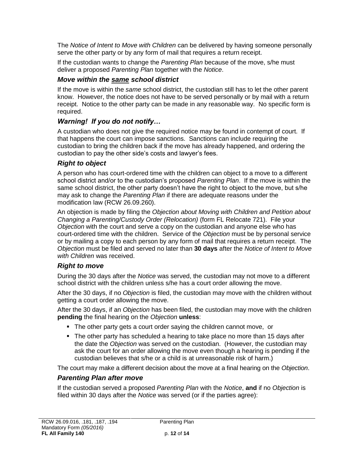The *Notice of Intent to Move with Children* can be delivered by having someone personally serve the other party or by any form of mail that requires a return receipt.

If the custodian wants to change the *Parenting Plan* because of the move, s/he must deliver a proposed *Parenting Plan* together with the *Notice*.

## *Move within the same school district*

If the move is within the *same* school district, the custodian still has to let the other parent know. However, the notice does not have to be served personally or by mail with a return receipt. Notice to the other party can be made in any reasonable way. No specific form is required.

## *Warning! If you do not notify…*

A custodian who does not give the required notice may be found in contempt of court. If that happens the court can impose sanctions. Sanctions can include requiring the custodian to bring the children back if the move has already happened, and ordering the custodian to pay the other side's costs and lawyer's fees.

### *Right to object*

A person who has court-ordered time with the children can object to a move to a different school district and/or to the custodian's proposed *Parenting Plan*. If the move is within the same school district, the other party doesn't have the right to object to the move, but s/he may ask to change the *Parenting Plan* if there are adequate reasons under the modification law (RCW 26.09.260).

An objection is made by filing the *Objection about Moving with Children and Petition about Changing a Parenting/Custody Order (Relocation)* (form FL Relocate 721). File your *Objection* with the court and serve a copy on the custodian and anyone else who has court-ordered time with the children. Service of the *Objection* must be by personal service or by mailing a copy to each person by any form of mail that requires a return receipt. The *Objection* must be filed and served no later than **30 days** after the *Notice of Intent to Move with Children* was received.

### *Right to move*

During the 30 days after the *Notice* was served, the custodian may not move to a different school district with the children unless s/he has a court order allowing the move.

After the 30 days, if no *Objection* is filed, the custodian may move with the children without getting a court order allowing the move.

After the 30 days, if an *Objection* has been filed, the custodian may move with the children **pending** the final hearing on the *Objection* **unless**:

- The other party gets a court order saying the children cannot move, or
- The other party has scheduled a hearing to take place no more than 15 days after the date the *Objection* was served on the custodian. (However, the custodian may ask the court for an order allowing the move even though a hearing is pending if the custodian believes that s/he or a child is at unreasonable risk of harm.)

The court may make a different decision about the move at a final hearing on the *Objection*.

### *Parenting Plan after move*

If the custodian served a proposed *Parenting Plan* with the *Notice*, **and** if no *Objection* is filed within 30 days after the *Notice* was served (or if the parties agree):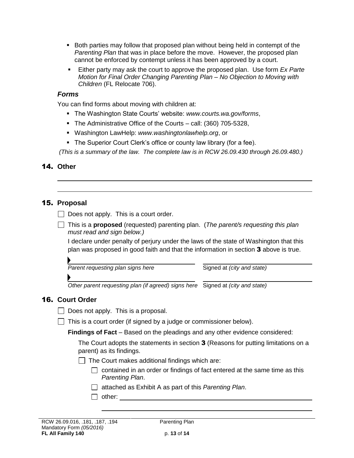- **Both parties may follow that proposed plan without being held in contempt of the** *Parenting Plan* that was in place before the move. However, the proposed plan cannot be enforced by contempt unless it has been approved by a court.
- Either party may ask the court to approve the proposed plan. Use form *Ex Parte Motion for Final Order Changing Parenting Plan – No Objection to Moving with Children* (FL Relocate 706).

#### *Forms*

You can find forms about moving with children at:

- The Washington State Courts' website: *www.courts.wa.gov/forms*,
- The Administrative Office of the Courts call: (360) 705-5328,
- Washington LawHelp: *www.washingtonlawhelp.org*, or
- **The Superior Court Clerk's office or county law library (for a fee).**

*(This is a summary of the law. The complete law is in RCW 26.09.430 through 26.09.480.)*

# 14. **Other**

# 15. **Proposal**

 $\Box$  Does not apply. This is a court order.

This is a **proposed** (requested) parenting plan. (*The parent/s requesting this plan must read and sign below.)*

I declare under penalty of perjury under the laws of the state of Washington that this plan was proposed in good faith and that the information in section 3 above is true.

*Parent requesting plan signs here* Signed at *(city and state)* 

*Other parent requesting plan (if agreed) signs here* Signed at *(city and state)*

# 16. **Court Order**

- $\Box$  Does not apply. This is a proposal.
- $\Box$  This is a court order (if signed by a judge or commissioner below).

**Findings of Fact** – Based on the pleadings and any other evidence considered:

The Court adopts the statements in section 3 (Reasons for putting limitations on a parent) as its findings.

- $\Box$  The Court makes additional findings which are:
	- $\Box$  contained in an order or findings of fact entered at the same time as this *Parenting Plan*.
	- attached as Exhibit A as part of this *Parenting Plan*.
	- $\Box$  other: